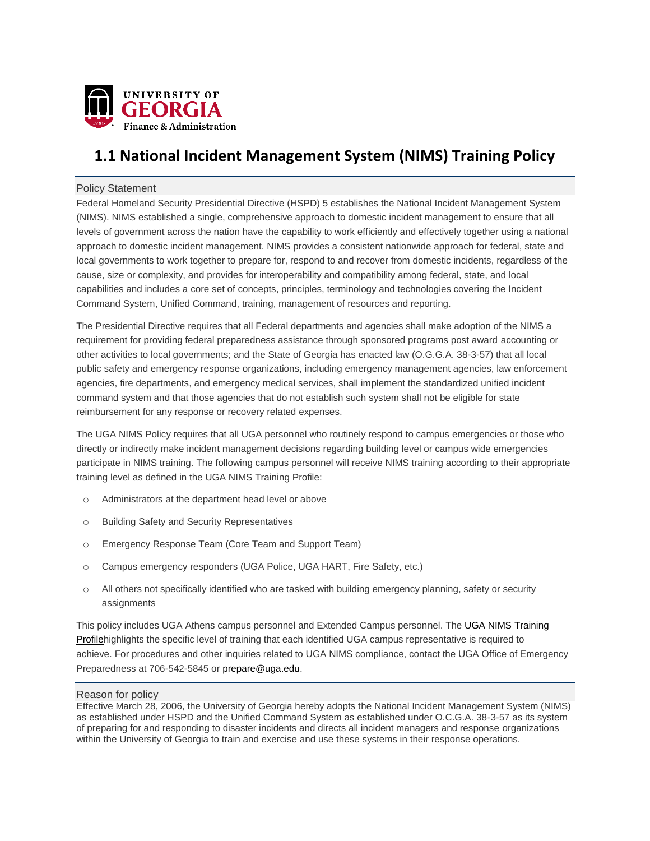

# **1.1 National Incident Management System (NIMS) Training Policy**

## Policy Statement

Federal Homeland Security Presidential Directive (HSPD) 5 establishes the National Incident Management System (NIMS). NIMS established a single, comprehensive approach to domestic incident management to ensure that all levels of government across the nation have the capability to work efficiently and effectively together using a national approach to domestic incident management. NIMS provides a consistent nationwide approach for federal, state and local governments to work together to prepare for, respond to and recover from domestic incidents, regardless of the cause, size or complexity, and provides for interoperability and compatibility among federal, state, and local capabilities and includes a core set of concepts, principles, terminology and technologies covering the Incident Command System, Unified Command, training, management of resources and reporting.

The Presidential Directive requires that all Federal departments and agencies shall make adoption of the NIMS a requirement for providing federal preparedness assistance through sponsored programs post award accounting or other activities to local governments; and the State of Georgia has enacted law (O.G.G.A. 38-3-57) that all local public safety and emergency response organizations, including emergency management agencies, law enforcement agencies, fire departments, and emergency medical services, shall implement the standardized unified incident command system and that those agencies that do not establish such system shall not be eligible for state reimbursement for any response or recovery related expenses.

The UGA NIMS Policy requires that all UGA personnel who routinely respond to campus emergencies or those who directly or indirectly make incident management decisions regarding building level or campus wide emergencies participate in NIMS training. The following campus personnel will receive NIMS training according to their appropriate training level as defined in the UGA NIMS Training Profile:

- o Administrators at the department head level or above
- o Building Safety and Security Representatives
- o Emergency Response Team (Core Team and Support Team)
- o Campus emergency responders (UGA Police, UGA HART, Fire Safety, etc.)
- o All others not specifically identified who are tasked with building emergency planning, safety or security assignments

This policy includes UGA Athens campus personnel and Extended Campus personnel. The UGA NIMS [Training](http://www.prepare.uga.edu/wp-content/uploads/NIMS_Training_Profile1.pdf) [Profileh](http://www.prepare.uga.edu/wp-content/uploads/NIMS_Training_Profile1.pdf)ighlights the specific level of training that each identified UGA campus representative is required to achieve. For procedures and other inquiries related to UGA NIMS compliance, contact the UGA Office of Emergency Preparedness at 706-542-5845 or [prepare@uga.edu.](mailto:prepare@uga.edu)

Reason for policy

Effective March 28, 2006, the University of Georgia hereby adopts the National Incident Management System (NIMS) as established under HSPD and the Unified Command System as established under O.C.G.A. 38-3-57 as its system of preparing for and responding to disaster incidents and directs all incident managers and response organizations within the University of Georgia to train and exercise and use these systems in their response operations.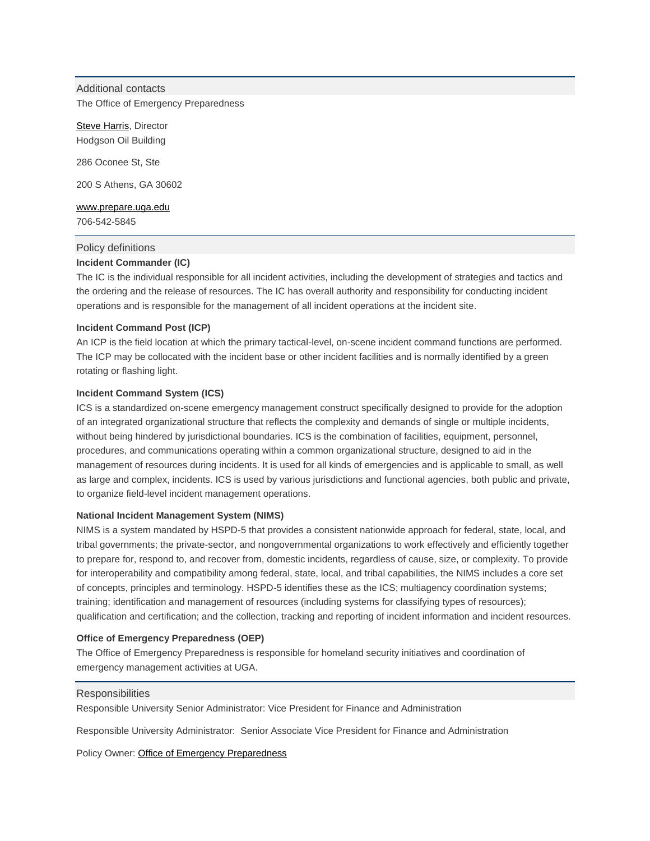Additional contacts The Office of Emergency Preparedness

Steve [Harris,](mailto:sharris@uga.edu) Director Hodgson Oil Building

286 Oconee St, Ste

200 S Athens, GA 30602

[www.prepare.uga.edu](http://www.prepare.uga.edu/) 706-542-5845

## Policy definitions

#### **Incident Commander (IC)**

The IC is the individual responsible for all incident activities, including the development of strategies and tactics and the ordering and the release of resources. The IC has overall authority and responsibility for conducting incident operations and is responsible for the management of all incident operations at the incident site.

## **Incident Command Post (ICP)**

An ICP is the field location at which the primary tactical-level, on-scene incident command functions are performed. The ICP may be collocated with the incident base or other incident facilities and is normally identified by a green rotating or flashing light.

## **Incident Command System (ICS)**

ICS is a standardized on-scene emergency management construct specifically designed to provide for the adoption of an integrated organizational structure that reflects the complexity and demands of single or multiple incidents, without being hindered by jurisdictional boundaries. ICS is the combination of facilities, equipment, personnel, procedures, and communications operating within a common organizational structure, designed to aid in the management of resources during incidents. It is used for all kinds of emergencies and is applicable to small, as well as large and complex, incidents. ICS is used by various jurisdictions and functional agencies, both public and private, to organize field-level incident management operations.

#### **National Incident Management System (NIMS)**

NIMS is a system mandated by HSPD-5 that provides a consistent nationwide approach for federal, state, local, and tribal governments; the private-sector, and nongovernmental organizations to work effectively and efficiently together to prepare for, respond to, and recover from, domestic incidents, regardless of cause, size, or complexity. To provide for interoperability and compatibility among federal, state, local, and tribal capabilities, the NIMS includes a core set of concepts, principles and terminology. HSPD-5 identifies these as the ICS; multiagency coordination systems; training; identification and management of resources (including systems for classifying types of resources); qualification and certification; and the collection, tracking and reporting of incident information and incident resources.

## **Office of Emergency Preparedness (OEP)**

The Office of Emergency Preparedness is responsible for homeland security initiatives and coordination of emergency management activities at UGA.

#### **Responsibilities**

Responsible University Senior Administrator: Vice President for Finance and Administration

Responsible University Administrator: Senior Associate Vice President for Finance and Administration

Policy Owner: Office of Emergency [Preparedness](mailto:prepare@uga.edu)